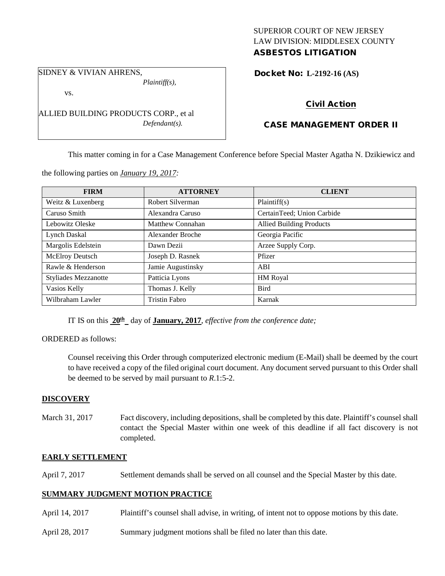## SUPERIOR COURT OF NEW JERSEY LAW DIVISION: MIDDLESEX COUNTY ASBESTOS LITIGATION

SIDNEY & VIVIAN AHRENS,

*Plaintiff(s),*

vs.

ALLIED BUILDING PRODUCTS CORP., et al *Defendant(s).*

# Docket No: **L-2192-16 (AS)**

# Civil Action

# CASE MANAGEMENT ORDER II

This matter coming in for a Case Management Conference before Special Master Agatha N. Dzikiewicz and

the following parties on *January 19, 2017:*

| <b>FIRM</b>                 | <b>ATTORNEY</b>      | <b>CLIENT</b>                   |
|-----------------------------|----------------------|---------------------------------|
| Weitz & Luxenberg           | Robert Silverman     | Plaintiff(s)                    |
| Caruso Smith                | Alexandra Caruso     | CertainTeed; Union Carbide      |
| Lebowitz Oleske             | Matthew Connahan     | <b>Allied Building Products</b> |
| Lynch Daskal                | Alexander Broche     | Georgia Pacific                 |
| Margolis Edelstein          | Dawn Dezii           | Arzee Supply Corp.              |
| <b>McElroy Deutsch</b>      | Joseph D. Rasnek     | Pfizer                          |
| Rawle & Henderson           | Jamie Augustinsky    | ABI                             |
| <b>Styliades Mezzanotte</b> | Patticia Lyons       | HM Royal                        |
| Vasios Kelly                | Thomas J. Kelly      | <b>Bird</b>                     |
| Wilbraham Lawler            | <b>Tristin Fabro</b> | Karnak                          |

IT IS on this **20th** day of **January, 2017**, *effective from the conference date;*

ORDERED as follows:

Counsel receiving this Order through computerized electronic medium (E-Mail) shall be deemed by the court to have received a copy of the filed original court document. Any document served pursuant to this Order shall be deemed to be served by mail pursuant to *R*.1:5-2.

#### **DISCOVERY**

March 31, 2017 Fact discovery, including depositions, shall be completed by this date. Plaintiff's counsel shall contact the Special Master within one week of this deadline if all fact discovery is not completed.

## **EARLY SETTLEMENT**

April 7, 2017 Settlement demands shall be served on all counsel and the Special Master by this date.

## **SUMMARY JUDGMENT MOTION PRACTICE**

- April 14, 2017 Plaintiff's counsel shall advise, in writing, of intent not to oppose motions by this date.
- April 28, 2017 Summary judgment motions shall be filed no later than this date.